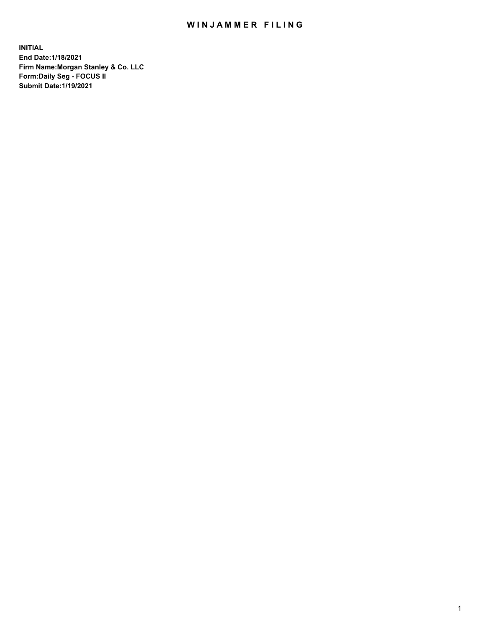## WIN JAMMER FILING

**INITIAL End Date:1/18/2021 Firm Name:Morgan Stanley & Co. LLC Form:Daily Seg - FOCUS II Submit Date:1/19/2021**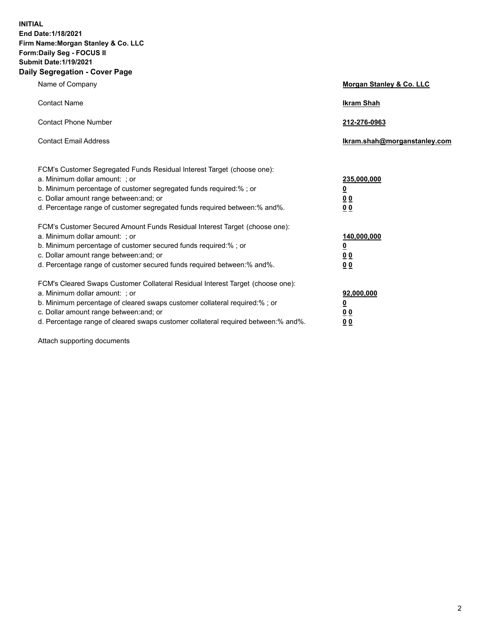**INITIAL End Date:1/18/2021 Firm Name:Morgan Stanley & Co. LLC Form:Daily Seg - FOCUS II Submit Date:1/19/2021 Daily Segregation - Cover Page**

| Name of Company                                                                                          | Morgan Stanley & Co. LLC     |
|----------------------------------------------------------------------------------------------------------|------------------------------|
| <b>Contact Name</b>                                                                                      | <b>Ikram Shah</b>            |
| <b>Contact Phone Number</b>                                                                              | 212-276-0963                 |
| <b>Contact Email Address</b>                                                                             | Ikram.shah@morganstanley.com |
|                                                                                                          |                              |
| FCM's Customer Segregated Funds Residual Interest Target (choose one):<br>a. Minimum dollar amount: ; or | 235,000,000                  |
| b. Minimum percentage of customer segregated funds required:% ; or                                       | <u>0</u>                     |
| c. Dollar amount range between: and; or                                                                  | <u>00</u>                    |
| d. Percentage range of customer segregated funds required between: % and %.                              | 0 <sup>0</sup>               |
| FCM's Customer Secured Amount Funds Residual Interest Target (choose one):                               |                              |
| a. Minimum dollar amount: ; or                                                                           | 140,000,000                  |
| b. Minimum percentage of customer secured funds required:%; or                                           | <u>0</u>                     |
| c. Dollar amount range between: and; or                                                                  | <u>0 0</u>                   |
| d. Percentage range of customer secured funds required between:% and%.                                   | 0 Q                          |
| FCM's Cleared Swaps Customer Collateral Residual Interest Target (choose one):                           |                              |
| a. Minimum dollar amount: ; or                                                                           | 92,000,000                   |
| b. Minimum percentage of cleared swaps customer collateral required:% ; or                               | <u>0</u>                     |
| c. Dollar amount range between: and; or                                                                  | 0 Q                          |
| d. Percentage range of cleared swaps customer collateral required between:% and%.                        | 0 <sub>0</sub>               |

Attach supporting documents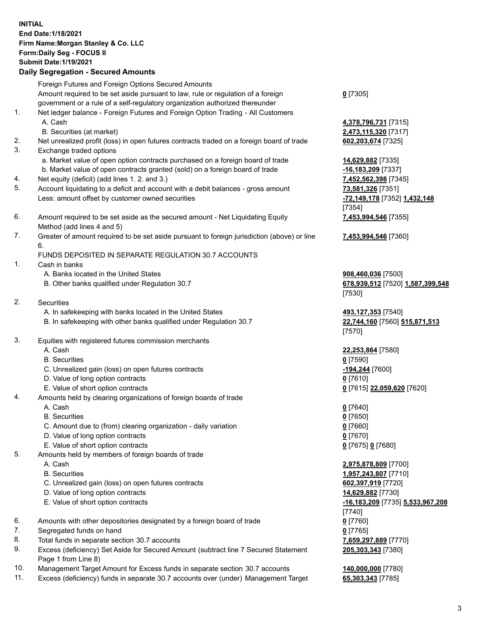## **INITIAL End Date:1/18/2021 Firm Name:Morgan Stanley & Co. LLC Form:Daily Seg - FOCUS II Submit Date:1/19/2021**

**Daily Segregation - Secured Amounts** Foreign Futures and Foreign Options Secured Amounts Amount required to be set aside pursuant to law, rule or regulation of a foreign government or a rule of a self-regulatory organization authorized thereunder 1. Net ledger balance - Foreign Futures and Foreign Option Trading - All Customers A. Cash **4,378,796,731** [7315] B. Securities (at market) **2,473,115,320** [7317] 2. Net unrealized profit (loss) in open futures contracts traded on a foreign board of trade **602,203,674** [7325] 3. Exchange traded options a. Market value of open option contracts purchased on a foreign board of trade **14,629,882** [7335] b. Market value of open contracts granted (sold) on a foreign board of trade **-16,183,209** [7337] 4. Net equity (deficit) (add lines 1. 2. and 3.) **7,452,562,398** [7345] 5. Account liquidating to a deficit and account with a debit balances - gross amount **73,581,326** [7351] Less: amount offset by customer owned securities **-72,149,178** [7352] **1,432,148** 6. Amount required to be set aside as the secured amount - Net Liquidating Equity Method (add lines 4 and 5) 7. Greater of amount required to be set aside pursuant to foreign jurisdiction (above) or line 6. FUNDS DEPOSITED IN SEPARATE REGULATION 30.7 ACCOUNTS 1. Cash in banks A. Banks located in the United States **908,460,036** [7500] B. Other banks qualified under Regulation 30.7 **678,939,512** [7520] **1,587,399,548** 2. Securities A. In safekeeping with banks located in the United States **493,127,353** [7540] B. In safekeeping with other banks qualified under Regulation 30.7 **22,744,160** [7560] **515,871,513** 3. Equities with registered futures commission merchants A. Cash **22,253,864** [7580] B. Securities **0** [7590] C. Unrealized gain (loss) on open futures contracts **-194,244** [7600] D. Value of long option contracts **0** [7610] E. Value of short option contracts **0** [7615] **22,059,620** [7620] 4. Amounts held by clearing organizations of foreign boards of trade A. Cash **0** [7640] B. Securities **0** [7650] C. Amount due to (from) clearing organization - daily variation **0** [7660] D. Value of long option contracts **0** [7670] E. Value of short option contracts **0** [7675] **0** [7680] 5. Amounts held by members of foreign boards of trade A. Cash **2,975,878,809** [7700] B. Securities **1,957,243,807** [7710]

- 
- C. Unrealized gain (loss) on open futures contracts **602,397,919** [7720] D. Value of long option contracts **14,629,882** [7730]
- 
- 6. Amounts with other depositories designated by a foreign board of trade **0** [7760]
- 7. Segregated funds on hand **0** [7765]
- 8. Total funds in separate section 30.7 accounts **7,659,297,889** [7770]
- 9. Excess (deficiency) Set Aside for Secured Amount (subtract line 7 Secured Statement Page 1 from Line 8)
- 10. Management Target Amount for Excess funds in separate section 30.7 accounts **140,000,000** [7780]
- 11. Excess (deficiency) funds in separate 30.7 accounts over (under) Management Target **65,303,343** [7785]

**0** [7305]

[7354] **7,453,994,546** [7355]

**7,453,994,546** [7360]

[7530]

[7570]

 E. Value of short option contracts **-16,183,209** [7735] **5,533,967,208** [7740] **205,303,343** [7380]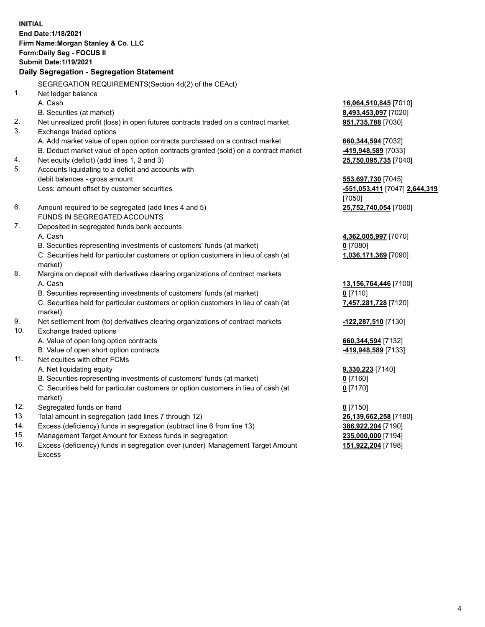**INITIAL End Date:1/18/2021 Firm Name:Morgan Stanley & Co. LLC Form:Daily Seg - FOCUS II Submit Date:1/19/2021 Daily Segregation - Segregation Statement** SEGREGATION REQUIREMENTS(Section 4d(2) of the CEAct) 1. Net ledger balance A. Cash **16,064,510,845** [7010] B. Securities (at market) **8,493,453,097** [7020] 2. Net unrealized profit (loss) in open futures contracts traded on a contract market **951,735,788** [7030] 3. Exchange traded options A. Add market value of open option contracts purchased on a contract market **660,344,594** [7032] B. Deduct market value of open option contracts granted (sold) on a contract market **-419,948,589** [7033] 4. Net equity (deficit) (add lines 1, 2 and 3) **25,750,095,735** [7040] 5. Accounts liquidating to a deficit and accounts with debit balances - gross amount **553,697,730** [7045] Less: amount offset by customer securities **-551,053,411** [7047] **2,644,319** [7050] 6. Amount required to be segregated (add lines 4 and 5) **25,752,740,054** [7060] FUNDS IN SEGREGATED ACCOUNTS 7. Deposited in segregated funds bank accounts A. Cash **4,362,005,997** [7070] B. Securities representing investments of customers' funds (at market) **0** [7080] C. Securities held for particular customers or option customers in lieu of cash (at market) **1,036,171,369** [7090] 8. Margins on deposit with derivatives clearing organizations of contract markets A. Cash **13,156,764,446** [7100] B. Securities representing investments of customers' funds (at market) **0** [7110] C. Securities held for particular customers or option customers in lieu of cash (at market) **7,457,281,728** [7120] 9. Net settlement from (to) derivatives clearing organizations of contract markets **-122,287,510** [7130] 10. Exchange traded options A. Value of open long option contracts **660,344,594** [7132] B. Value of open short option contracts **-419,948,589** [7133] 11. Net equities with other FCMs A. Net liquidating equity **9,330,223** [7140] B. Securities representing investments of customers' funds (at market) **0** [7160] C. Securities held for particular customers or option customers in lieu of cash (at market) **0** [7170] 12. Segregated funds on hand **0** [7150] 13. Total amount in segregation (add lines 7 through 12) **26,139,662,258** [7180] 14. Excess (deficiency) funds in segregation (subtract line 6 from line 13) **386,922,204** [7190] 15. Management Target Amount for Excess funds in segregation **235,000,000** [7194] **151,922,204** [7198]

16. Excess (deficiency) funds in segregation over (under) Management Target Amount Excess